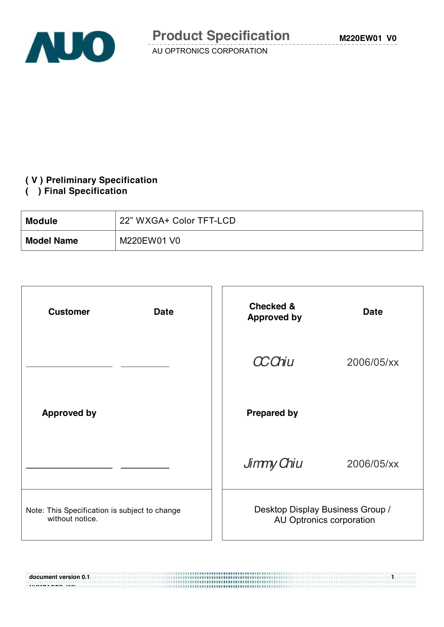

#### **( V ) Preliminary Specification**

#### **( ) Final Specification**

**NUMBER 698 1997** 

| <b>Module</b>     | 22" WXGA+ Color TFT-LCD |
|-------------------|-------------------------|
| <b>Model Name</b> | M220EW01 V0             |

| <b>Customer</b><br><b>Date</b>                                   | <b>Checked &amp;</b><br><b>Approved by</b>                   | <b>Date</b> |
|------------------------------------------------------------------|--------------------------------------------------------------|-------------|
|                                                                  | <b>CCChiu</b>                                                | 2006/05/xx  |
| <b>Approved by</b>                                               | <b>Prepared by</b>                                           |             |
|                                                                  | Jimmy Chiu                                                   | 2006/05/xx  |
| Note: This Specification is subject to change<br>without notice. | Desktop Display Business Group /<br>AU Optronics corporation |             |

**document version 0.1 1 1**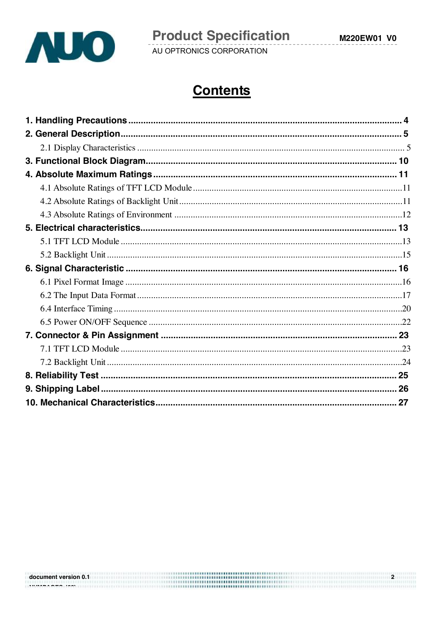

# **Contents**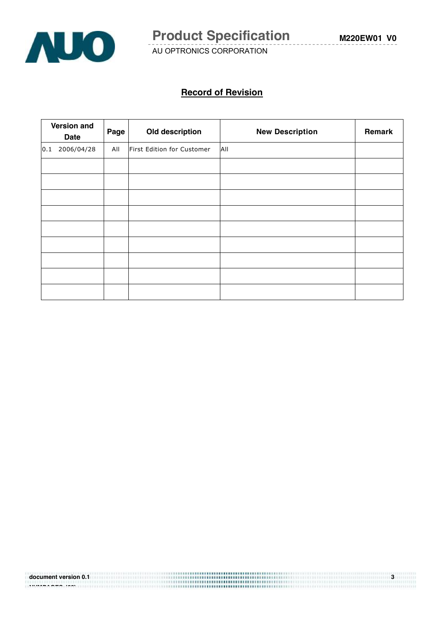

#### **Record of Revision**

|     | <b>Version and</b><br><b>Date</b> | Page | Old description            | <b>New Description</b> | Remark |
|-----|-----------------------------------|------|----------------------------|------------------------|--------|
| 0.1 | 2006/04/28                        | All  | First Edition for Customer | All                    |        |
|     |                                   |      |                            |                        |        |
|     |                                   |      |                            |                        |        |
|     |                                   |      |                            |                        |        |
|     |                                   |      |                            |                        |        |
|     |                                   |      |                            |                        |        |
|     |                                   |      |                            |                        |        |
|     |                                   |      |                            |                        |        |
|     |                                   |      |                            |                        |        |
|     |                                   |      |                            |                        |        |

document version 0.1 **and 1.1 and 1.1 and 1.1 and 1.1 and 1.2 and 1.3 and 1.4 and 1.4 and 1.4 and 1.4 and 1.4 a NUMPAGES |29}**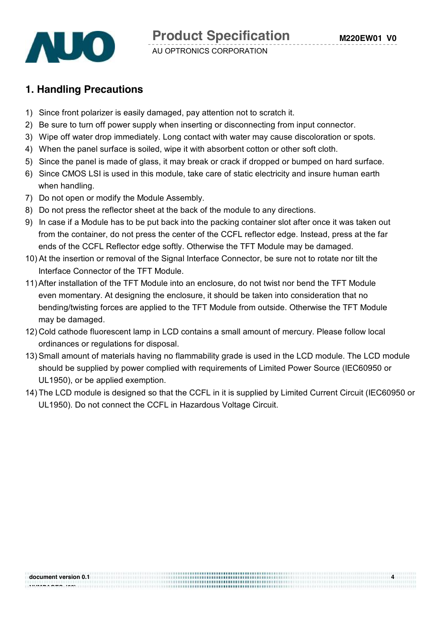### **1. Handling Precautions**

- 1) Since front polarizer is easily damaged, pay attention not to scratch it.
- 2) Be sure to turn off power supply when inserting or disconnecting from input connector.
- 3) Wipe off water drop immediately. Long contact with water may cause discoloration or spots.
- 4) When the panel surface is soiled, wipe it with absorbent cotton or other soft cloth.
- 5) Since the panel is made of glass, it may break or crack if dropped or bumped on hard surface.
- 6) Since CMOS LSI is used in this module, take care of static electricity and insure human earth when handling.
- 7) Do not open or modify the Module Assembly.
- 8) Do not press the reflector sheet at the back of the module to any directions.
- 9) In case if a Module has to be put back into the packing container slot after once it was taken out from the container, do not press the center of the CCFL reflector edge. Instead, press at the far ends of the CCFL Reflector edge softly. Otherwise the TFT Module may be damaged.
- 10) At the insertion or removal of the Signal Interface Connector, be sure not to rotate nor tilt the Interface Connector of the TFT Module.
- 11)After installation of the TFT Module into an enclosure, do not twist nor bend the TFT Module even momentary. At designing the enclosure, it should be taken into consideration that no bending/twisting forces are applied to the TFT Module from outside. Otherwise the TFT Module may be damaged.
- 12) Cold cathode fluorescent lamp in LCD contains a small amount of mercury. Please follow local ordinances or regulations for disposal.
- 13) Small amount of materials having no flammability grade is used in the LCD module. The LCD module should be supplied by power complied with requirements of Limited Power Source (IEC60950 or UL1950), or be applied exemption.
- 14) The LCD module is designed so that the CCFL in it is supplied by Limited Current Circuit (IEC60950 or UL1950). Do not connect the CCFL in Hazardous Voltage Circuit.

**NUMPAGES |29}**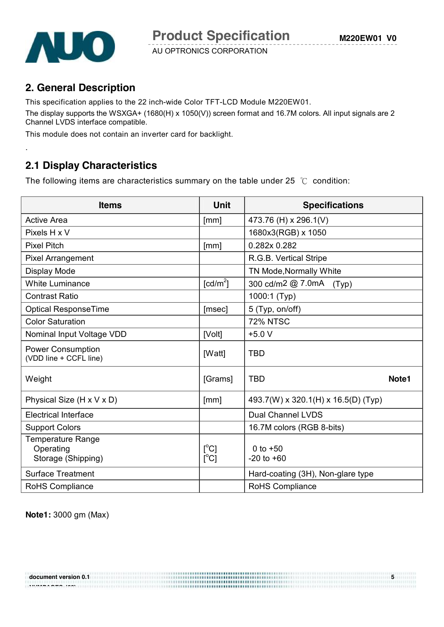

.

AU OPTRONICS CORPORATION

### **2. General Description**

This specification applies to the 22 inch-wide Color TFT-LCD Module M220EW01.

The display supports the WSXGA+ (1680(H) x 1050(V)) screen format and 16.7M colors. All input signals are 2 Channel LVDS interface compatible.

This module does not contain an inverter card for backlight.

### **2.1 Display Characteristics**

The following items are characteristics summary on the table under 25 ℃ condition:

| <b>Items</b>                                                | Unit                                | <b>Specifications</b>               |       |
|-------------------------------------------------------------|-------------------------------------|-------------------------------------|-------|
| <b>Active Area</b>                                          | [mm]                                | 473.76 (H) x 296.1(V)               |       |
| Pixels H x V                                                |                                     | 1680x3(RGB) x 1050                  |       |
| <b>Pixel Pitch</b>                                          | [mm]                                | 0.282x 0.282                        |       |
| <b>Pixel Arrangement</b>                                    |                                     | R.G.B. Vertical Stripe              |       |
| Display Mode                                                |                                     | TN Mode, Normally White             |       |
| <b>White Luminance</b>                                      | $\lceil$ cd/m <sup>2</sup> $\rceil$ | 300 cd/m2 @ 7.0mA<br>(Typ)          |       |
| <b>Contrast Ratio</b>                                       |                                     | 1000:1 (Typ)                        |       |
| <b>Optical ResponseTime</b>                                 | [msec]                              | 5 (Typ, on/off)                     |       |
| <b>Color Saturation</b>                                     |                                     | <b>72% NTSC</b>                     |       |
| Nominal Input Voltage VDD                                   | [Volt]                              | $+5.0V$                             |       |
| <b>Power Consumption</b><br>(VDD line + CCFL line)          | [Watt]                              | <b>TBD</b>                          |       |
| Weight                                                      | [Grams]                             | <b>TBD</b>                          | Note1 |
| Physical Size (H x V x D)                                   | [mm]                                | 493.7(W) x 320.1(H) x 16.5(D) (Typ) |       |
| <b>Electrical Interface</b>                                 |                                     | <b>Dual Channel LVDS</b>            |       |
| <b>Support Colors</b>                                       |                                     | 16.7M colors (RGB 8-bits)           |       |
| <b>Temperature Range</b><br>Operating<br>Storage (Shipping) | $\Gamma^{\circ}$ Cl<br>[°C]         | 0 to $+50$<br>$-20$ to $+60$        |       |
| <b>Surface Treatment</b>                                    |                                     | Hard-coating (3H), Non-glare type   |       |
| <b>RoHS Compliance</b>                                      |                                     | <b>RoHS Compliance</b>              |       |

**Note1:** 3000 gm (Max)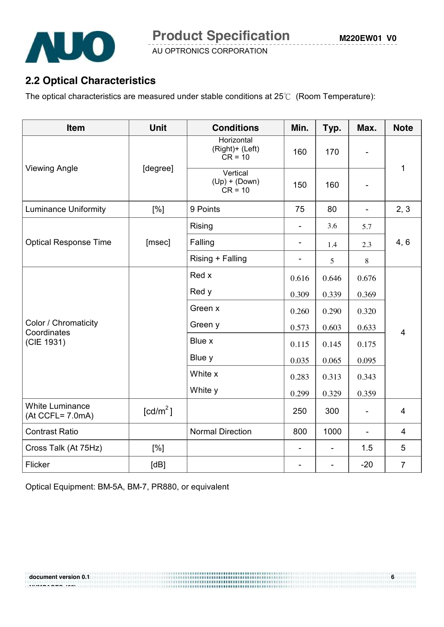

### **2.2 Optical Characteristics**

The optical characteristics are measured under stable conditions at 25℃ (Room Temperature):

| Item                                       | <b>Unit</b>          | <b>Conditions</b>                                     | Min.                         | Typ.                     | Max.                     | <b>Note</b>    |  |
|--------------------------------------------|----------------------|-------------------------------------------------------|------------------------------|--------------------------|--------------------------|----------------|--|
|                                            |                      | Horizontal<br>(Right)+ (Left)<br>$CR = 10$            | 160                          | 170                      | $\blacksquare$           | 1              |  |
| <b>Viewing Angle</b>                       | [degree]             | Vertical<br>$(Up) + (Down)$<br>$CR = 10$              | 150                          | 160                      |                          |                |  |
| <b>Luminance Uniformity</b>                | [%]                  | 9 Points                                              | 75                           | 80                       | $\blacksquare$           | 2, 3           |  |
|                                            |                      | <b>Rising</b>                                         |                              | 3.6                      | 5.7                      |                |  |
| <b>Optical Response Time</b>               | [msec]               | Falling                                               |                              | 1.4                      | 2.3                      | 4, 6           |  |
|                                            |                      | Rising + Falling                                      | $\qquad \qquad \blacksquare$ | 5                        | $\, 8$                   |                |  |
|                                            |                      | Red x                                                 | 0.616                        | 0.646                    | 0.676                    |                |  |
|                                            |                      | Red y                                                 | 0.309                        | 0.339                    | 0.369                    |                |  |
|                                            |                      | Green x                                               | 0.260                        | 0.290                    | 0.320                    |                |  |
| Color / Chromaticity<br>Coordinates        |                      | Green y<br>0.573<br>0.603<br>Blue x<br>0.115<br>0.145 |                              |                          | 0.633                    | $\overline{4}$ |  |
| (CIE 1931)                                 |                      |                                                       |                              | 0.175                    |                          |                |  |
|                                            |                      | Blue y                                                | 0.035                        | 0.065                    | 0.095                    |                |  |
|                                            |                      | White x                                               | 0.283                        | 0.313                    | 0.343                    |                |  |
|                                            |                      | White y                                               | 0.299                        | 0.329                    | 0.359                    |                |  |
| <b>White Luminance</b><br>(At CCFL= 7.0mA) | [cd/m <sup>2</sup> ] |                                                       | 250                          | 300                      | $\blacksquare$           | $\overline{4}$ |  |
| <b>Contrast Ratio</b>                      |                      | <b>Normal Direction</b>                               | 800                          | 1000                     | $\overline{\phantom{a}}$ | $\overline{4}$ |  |
| Cross Talk (At 75Hz)                       | [%]                  |                                                       | $\blacksquare$               | $\overline{\phantom{a}}$ | 1.5                      | 5              |  |
| Flicker                                    | [dB]                 |                                                       |                              |                          | $-20$                    | $\overline{7}$ |  |

Optical Equipment: BM-5A, BM-7, PR880, or equivalent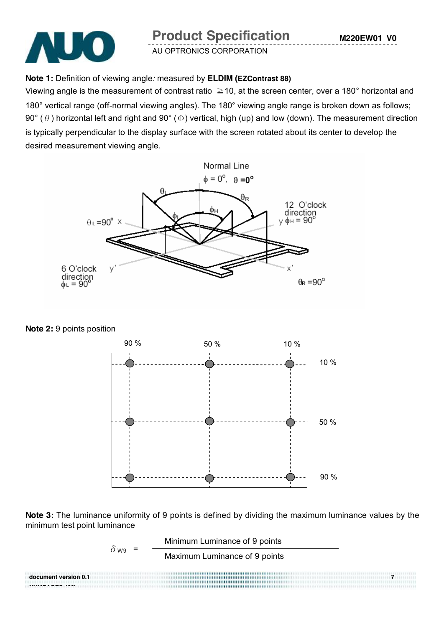## **Product Specification**



AU OPTRONICS CORPORATION

#### **Note 1:** Definition of viewing angle*:* measured by **ELDIM (EZContrast 88)**

Viewing angle is the measurement of contrast ratio  $\geq$  10, at the screen center, over a 180 $^{\circ}$  horizontal and 180° vertical range (off-normal viewing angles). The 180° viewing angle range is broken down as follows; 90° ( $\theta$ ) horizontal left and right and 90° ( $\Phi$ ) vertical, high (up) and low (down). The measurement direction is typically perpendicular to the display surface with the screen rotated about its center to develop the desired measurement viewing angle.



**Note 2:** 9 points position



**Note 3:** The luminance uniformity of 9 points is defined by dividing the maximum luminance values by the minimum test point luminance

Minimum Luminance of 9 points

 $\delta$  wg =

Maximum Luminance of 9 points

**document version 0.1** *document version* 0.1 *ndustries ndustries* **<b>***ndustries ndustries ndustries ndustries* **<b>***ndustries ndustries* **<b>***ndustries ndustries ndustries* **<b>***ndustries ndustrie* **NUMPAGES |29}**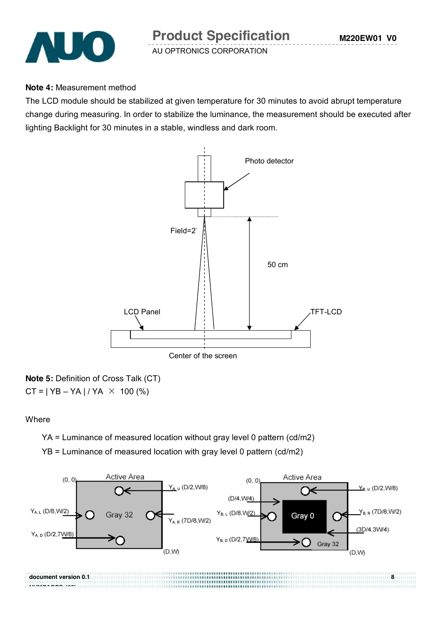

**Note 4:** Measurement method

The LCD module should be stabilized at given temperature for 30 minutes to avoid abrupt temperature change during measuring. In order to stabilize the luminance, the measurement should be executed after lighting Backlight for 30 minutes in a stable, windless and dark room.



**Note 5:** Definition of Cross Talk (CT)  $CT = | YB - YA | / YA \times 100 (%)$ 

#### **Where**

YA = Luminance of measured location without gray level 0 pattern (cd/m2)

YB = Luminance of measured location with gray level 0 pattern (cd/m2)

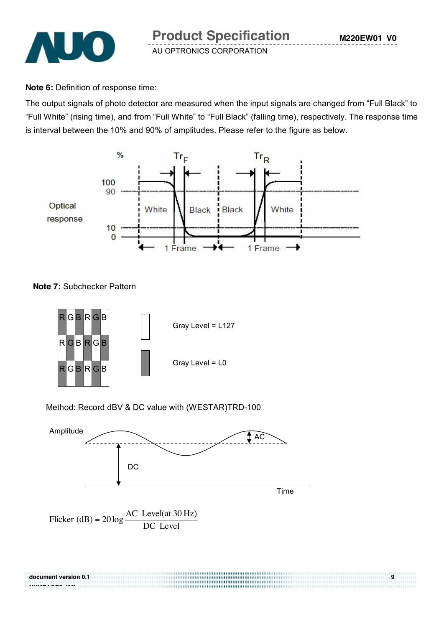

**Note 6:** Definition of response time:

The output signals of photo detector are measured when the input signals are changed from "Full Black" to "Full White" (rising time), and from "Full White" to "Full Black" (falling time), respectively. The response time is interval between the 10% and 90% of amplitudes. Please refer to the figure as below.



#### **Note 7:** Subchecker Pattern

**NUMPAGES |29}**



#### Method: Record dBV & DC value with (WESTAR)TRD-100



**document version 0.1 9 9**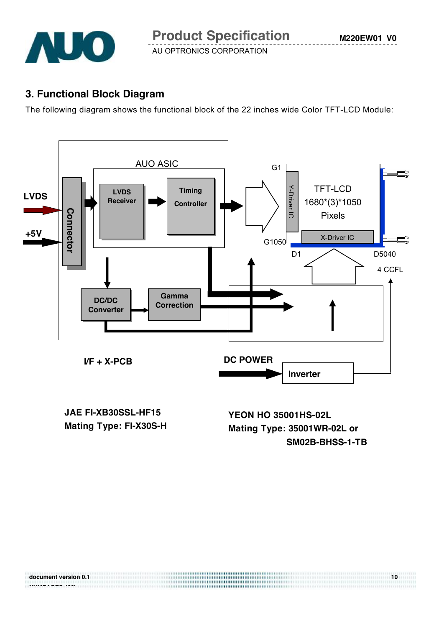

### **3. Functional Block Diagram**

The following diagram shows the functional block of the 22 inches wide Color TFT-LCD Module:



**JAE FI-XB30SSL-HF15 Mating Type: FI-X30S-H**

**YEON HO 35001HS-02L Mating Type: 35001WR-02L or SM02B-BHSS-1-TB**

|                                                                                   | 10 |
|-----------------------------------------------------------------------------------|----|
| ,,,,,,,,,,,,,,,,,,,,,,,,,,,,,,,,,,<br>.<br><b>*******************************</b> |    |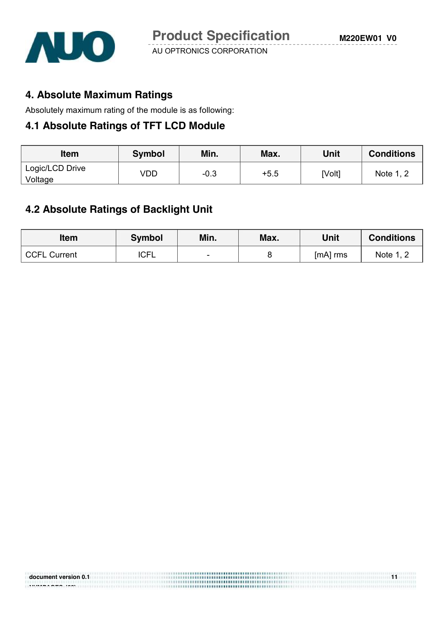

### **4. Absolute Maximum Ratings**

Absolutely maximum rating of the module is as following:

### **4.1 Absolute Ratings of TFT LCD Module**

| <b>Item</b>     | Symbol | Min.   | Max.   | Unit   | <b>Conditions</b> |
|-----------------|--------|--------|--------|--------|-------------------|
| Logic/LCD Drive | VDD    | $-0.3$ | $+5.5$ | [Volt] | Note 1, 2         |
| Voltage         |        |        |        |        |                   |

### **4.2 Absolute Ratings of Backlight Unit**

| <b>Item</b>         | <b>Symbol</b> | Min.                     | Max. | Unit     | <b>Conditions</b> |
|---------------------|---------------|--------------------------|------|----------|-------------------|
| <b>CCFL Current</b> | <b>ICFL</b>   | $\overline{\phantom{0}}$ |      | [mA] rms | Note 1, 2         |

**document version of the contract version of the contract version of the contract version of the contract version of the contract version of the contract version of the contract version of the contract version of the contr** 

| document version 0.1 |  |
|----------------------|--|
|----------------------|--|

**NUMPAGES |29}**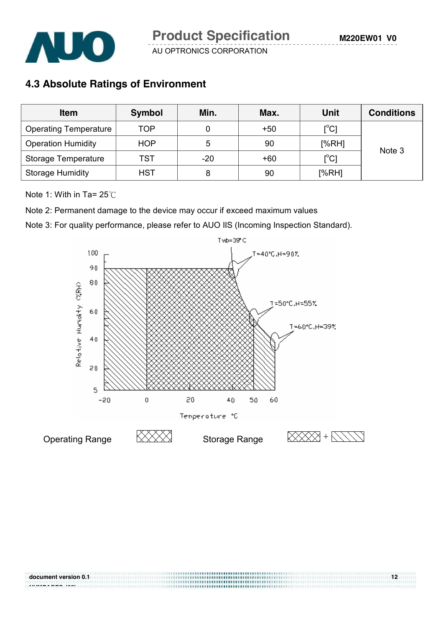

### **4.3 Absolute Ratings of Environment**

| <b>Item</b>                  | <b>Symbol</b> | Min.  | Max.  | <b>Unit</b>                             | <b>Conditions</b> |
|------------------------------|---------------|-------|-------|-----------------------------------------|-------------------|
| <b>Operating Temperature</b> | TOP           |       | $+50$ | $[^{\circ}C]$                           |                   |
| <b>Operation Humidity</b>    | <b>HOP</b>    | 5     | 90    | [%RH]                                   | Note 3            |
| Storage Temperature          | TST           | $-20$ | $+60$ | $\mathsf{I}^\circ\mathsf{C} \mathsf{I}$ |                   |
| <b>Storage Humidity</b>      | <b>HST</b>    | 8     | 90    | [%RH]                                   |                   |

Note 1: With in Ta= 25℃

Note 2: Permanent damage to the device may occur if exceed maximum values

Note 3: For quality performance, please refer to AUO IIS (Incoming Inspection Standard).

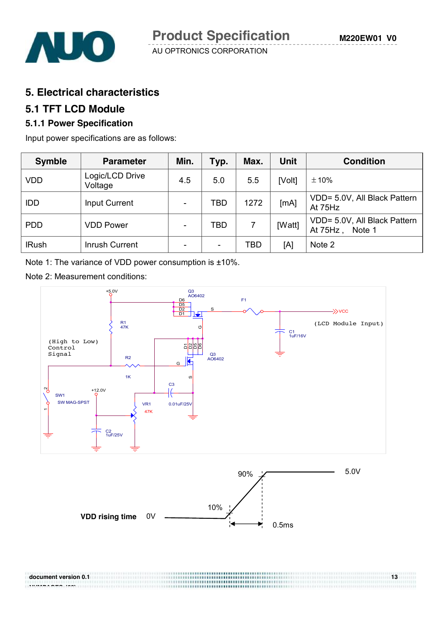#### **5. Electrical characteristics**

#### **5.1 TFT LCD Module**

#### **5.1.1 Power Specification**

Input power specifications are as follows:

| <b>Symble</b> | <b>Parameter</b>           | Min.                     | Typ.                     | Max. | Unit   | <b>Condition</b>                                   |
|---------------|----------------------------|--------------------------|--------------------------|------|--------|----------------------------------------------------|
| <b>VDD</b>    | Logic/LCD Drive<br>Voltage | 4.5                      | 5.0                      | 5.5  | [Volt] | ±10%                                               |
| <b>IDD</b>    | <b>Input Current</b>       | $\overline{\phantom{a}}$ | TBD                      | 1272 | [mA]   | VDD= 5.0V, All Black Pattern<br>At 75Hz            |
| <b>PDD</b>    | <b>VDD Power</b>           | ۰                        | TBD                      |      | [Watt] | VDD= 5.0V, All Black Pattern<br>At 75Hz.<br>Note 1 |
| <b>IRush</b>  | <b>Inrush Current</b>      | $\overline{\phantom{a}}$ | $\overline{\phantom{0}}$ | TBD  | [A]    | Note 2                                             |

Note 1: The variance of VDD power consumption is ±10%.

Note 2: Measurement conditions:



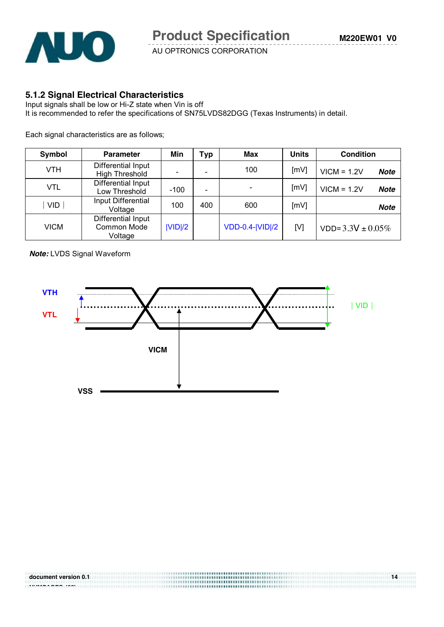

#### **5.1.2 Signal Electrical Characteristics**

Input signals shall be low or Hi-Z state when Vin is off It is recommended to refer the specifications of SN75LVDS82DGG (Texas Instruments) in detail.

Each signal characteristics are as follows;

| Symbol     | <b>Parameter</b>                                    | Min    | Typ | Max                    | <b>Units</b> | <b>Condition</b>             |
|------------|-----------------------------------------------------|--------|-----|------------------------|--------------|------------------------------|
| VTH        | Differential Input<br><b>High Threshold</b>         |        |     | 100                    | [mV]         | $VICM = 1.2V$<br><b>Note</b> |
| <b>VTL</b> | Differential Input<br>Low Threshold                 | $-100$ |     |                        | [mV]         | $VICM = 1.2V$<br><b>Note</b> |
| <b>VID</b> | Input Differential<br>Voltage                       | 100    | 400 | 600                    | [mV]         | <b>Note</b>                  |
| VICM       | Differential Input<br><b>Common Mode</b><br>Voltage | V D /2 |     | <b>VDD-0.4- VID /2</b> | [V]          | $VDD = 3.3V \pm 0.05\%$      |

*Note:* LVDS Signal Waveform

**NUMBER 688 1888 1999** 



**document version 0.1 14 14**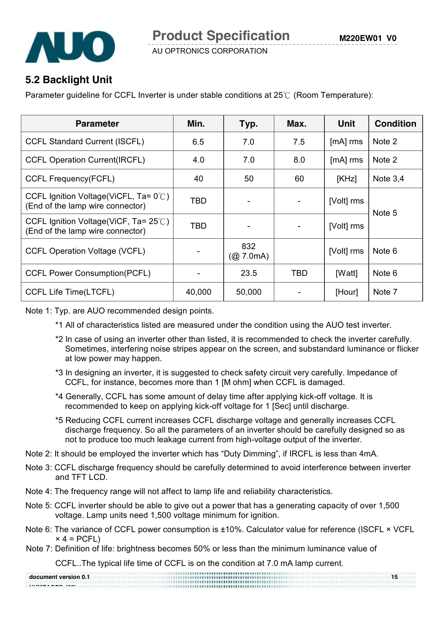

### **5.2 Backlight Unit**

Parameter guideline for CCFL Inverter is under stable conditions at 25℃ (Room Temperature):

| <b>Parameter</b>                                                                    | Min.       | Typ.             | Max. | Unit       | <b>Condition</b> |
|-------------------------------------------------------------------------------------|------------|------------------|------|------------|------------------|
| <b>CCFL Standard Current (ISCFL)</b>                                                | 6.5        | 7.0              | 7.5  | [mA] rms   | Note 2           |
| <b>CCFL Operation Current(IRCFL)</b>                                                | 4.0        | 7.0              | 8.0  | [mA] rms   | Note 2           |
| <b>CCFL Frequency(FCFL)</b>                                                         | 40         | 50               | 60   | [KHz]      | Note $3,4$       |
| CCFL Ignition Voltage(ViCFL, Ta= 0°C)<br>(End of the lamp wire connector)           | <b>TBD</b> |                  |      | [Volt] rms | Note 5           |
| CCFL Ignition Voltage(ViCF, Ta= $25^{\circ}$ C)<br>(End of the lamp wire connector) | <b>TBD</b> |                  |      | [Volt] rms |                  |
| <b>CCFL Operation Voltage (VCFL)</b>                                                |            | 832<br>(Q 7.0mA) |      | [Volt] rms | Note 6           |
| <b>CCFL Power Consumption(PCFL)</b>                                                 |            | 23.5             | TBD. | [Watt]     | Note 6           |
| <b>CCFL Life Time(LTCFL)</b>                                                        | 40,000     | 50,000           |      | [Hour]     | Note 7           |

Note 1: Typ. are AUO recommended design points.

- \*1 All of characteristics listed are measured under the condition using the AUO test inverter.
- \*2 In case of using an inverter other than listed, it is recommended to check the inverter carefully. Sometimes, interfering noise stripes appear on the screen, and substandard luminance or flicker at low power may happen.
- \*3 In designing an inverter, it is suggested to check safety circuit very carefully. Impedance of CCFL, for instance, becomes more than 1 [M ohm] when CCFL is damaged.
- \*4 Generally, CCFL has some amount of delay time after applying kick-off voltage. It is recommended to keep on applying kick-off voltage for 1 [Sec] until discharge.
- \*5 Reducing CCFL current increases CCFL discharge voltage and generally increases CCFL discharge frequency. So all the parameters of an inverter should be carefully designed so as not to produce too much leakage current from high-voltage output of the inverter.
- Note 2: It should be employed the inverter which has "Duty Dimming", if IRCFL is less than 4mA.
- Note 3: CCFL discharge frequency should be carefully determined to avoid interference between inverter and TFT LCD.
- Note 4: The frequency range will not affect to lamp life and reliability characteristics.
- Note 5: CCFL inverter should be able to give out a power that has a generating capacity of over 1,500 voltage. Lamp units need 1,500 voltage minimum for ignition.
- Note 6: The variance of CCFL power consumption is ±10%. Calculator value for reference (ISCFL × VCFL  $\times$  4 = PCFL)
- Note 7: Definition of life: brightness becomes 50% or less than the minimum luminance value of

CCFL..The typical life time of CCFL is on the condition at 7.0 mA lamp current.

| document version 0.1 | <b></b> .<br>                        | 15 |
|----------------------|--------------------------------------|----|
|                      | ,,,,,,,,,,,,,,,,,,,,,,,,,,,,,,,,,,,, |    |
|                      |                                      |    |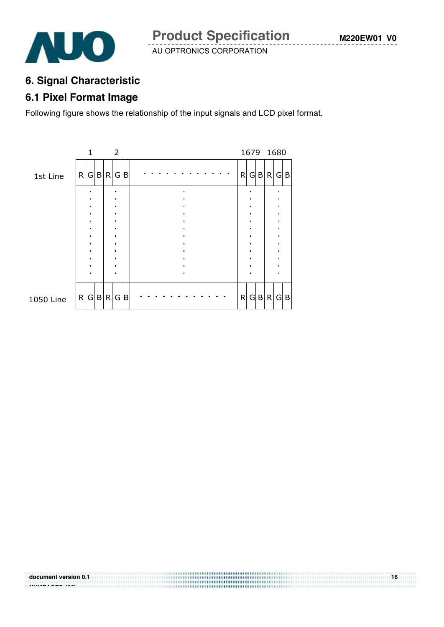......................................

AU OPTRONICS CORPORATION



### **6. Signal Characteristic**

### **6.1 Pixel Format Image**

Following figure shows the relationship of the input signals and LCD pixel format.



**document version 0.1** 16 **NUMPAGES |29}**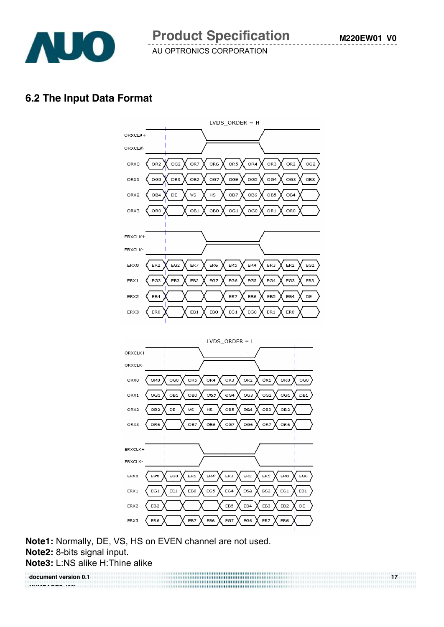

#### **6.2 The Input Data Format**





**Note1:** Normally, DE, VS, HS on EVEN channel are not used. **Note2:** 8-bits signal input. **Note3:** L:NS alike H:Thine alike

**document version 0.1 17 NUMPAGES |29}**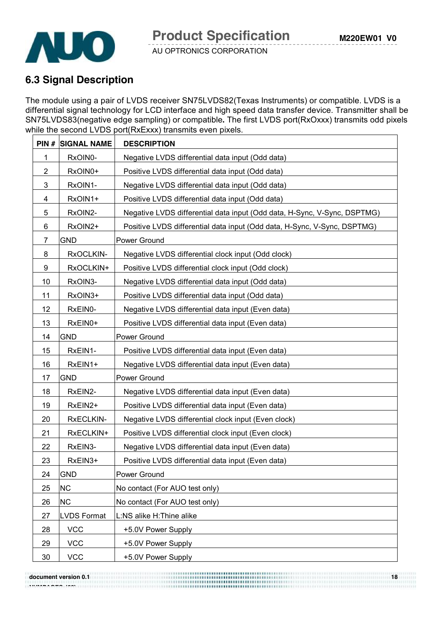



### **6.3 Signal Description**

The module using a pair of LVDS receiver SN75LVDS82(Texas Instruments) or compatible. LVDS is a differential signal technology for LCD interface and high speed data transfer device. Transmitter shall be SN75LVDS83(negative edge sampling) or compatible**.** The first LVDS port(RxOxxx) transmits odd pixels while the second LVDS port(RxExxx) transmits even pixels.

|                         | <b>PIN # SIGNAL NAME</b> | <b>DESCRIPTION</b>                                                       |
|-------------------------|--------------------------|--------------------------------------------------------------------------|
| 1                       | RxOIN0-                  | Negative LVDS differential data input (Odd data)                         |
| $\overline{2}$          | RxOIN0+                  | Positive LVDS differential data input (Odd data)                         |
| 3                       | RxOIN1-                  | Negative LVDS differential data input (Odd data)                         |
| $\overline{\mathbf{4}}$ | RxOIN1+                  | Positive LVDS differential data input (Odd data)                         |
| 5                       | RxOIN2-                  | Negative LVDS differential data input (Odd data, H-Sync, V-Sync, DSPTMG) |
| 6                       | RxOIN2+                  | Positive LVDS differential data input (Odd data, H-Sync, V-Sync, DSPTMG) |
| 7                       | <b>GND</b>               | Power Ground                                                             |
| 8                       | RxOCLKIN-                | Negative LVDS differential clock input (Odd clock)                       |
| 9                       | RxOCLKIN+                | Positive LVDS differential clock input (Odd clock)                       |
| 10                      | RxOIN3-                  | Negative LVDS differential data input (Odd data)                         |
| 11                      | RxOIN3+                  | Positive LVDS differential data input (Odd data)                         |
| 12                      | RxEIN0-                  | Negative LVDS differential data input (Even data)                        |
| 13                      | RxEIN0+                  | Positive LVDS differential data input (Even data)                        |
| 14                      | <b>GND</b>               | Power Ground                                                             |
| 15                      | RxEIN1-                  | Positive LVDS differential data input (Even data)                        |
| 16                      | RxEIN1+                  | Negative LVDS differential data input (Even data)                        |
| 17                      | <b>GND</b>               | Power Ground                                                             |
| 18                      | RxEIN2-                  | Negative LVDS differential data input (Even data)                        |
| 19                      | RxEIN2+                  | Positive LVDS differential data input (Even data)                        |
| 20                      | RxECLKIN-                | Negative LVDS differential clock input (Even clock)                      |
| 21                      | RxECLKIN+                | Positive LVDS differential clock input (Even clock)                      |
| 22                      | RxEIN3-                  | Negative LVDS differential data input (Even data)                        |
| 23                      | RxEIN3+                  | Positive LVDS differential data input (Even data)                        |
| 24                      | <b>GND</b>               | Power Ground                                                             |
| 25                      | <b>NC</b>                | No contact (For AUO test only)                                           |
| 26                      | <b>NC</b>                | No contact (For AUO test only)                                           |
| 27                      | <b>LVDS Format</b>       | L:NS alike H:Thine alike                                                 |
| 28                      | <b>VCC</b>               | +5.0V Power Supply                                                       |
| 29                      | <b>VCC</b>               | +5.0V Power Supply                                                       |
| 30                      | <b>VCC</b>               | +5.0V Power Supply                                                       |

**document version 0.1 18 NUMBER 688 1888**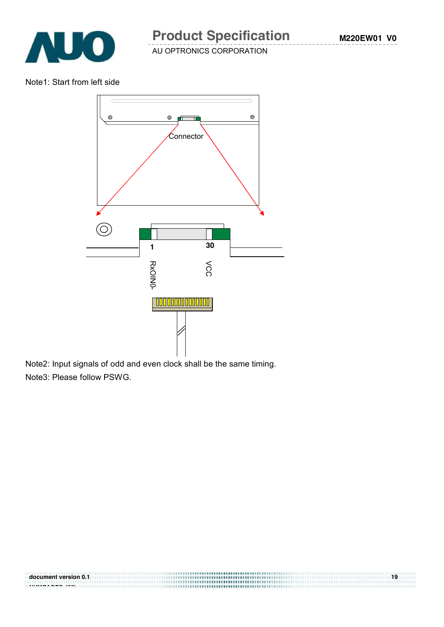

Note1: Start from left side



Note2: Input signals of odd and even clock shall be the same timing. Note3: Please follow PSWG.

**document version 0.1 19 NUMPAGES |29}**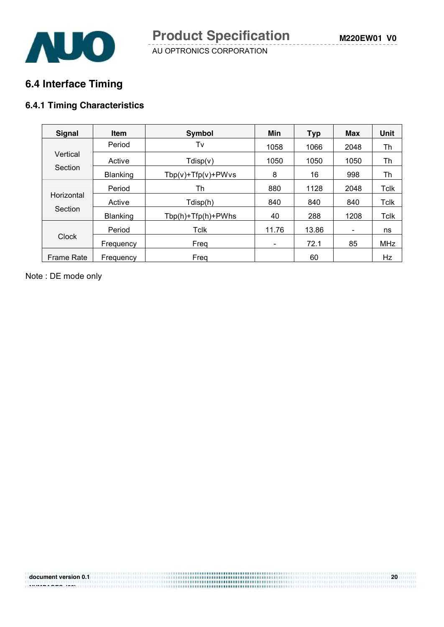

### **6.4 Interface Timing**

#### **6.4.1 Timing Characteristics**

| <b>Signal</b>     | <b>Item</b>     | Symbol                   | Min   | <b>Typ</b> | <b>Max</b>               | <b>Unit</b> |
|-------------------|-----------------|--------------------------|-------|------------|--------------------------|-------------|
|                   | Period          | Tv                       | 1058  | 1066       | 2048                     | Th          |
| Vertical          | Active          | Tdisp(v)                 | 1050  | 1050       | 1050                     | Th          |
| Section           | Blanking        | $Tbp(v) + Tfp(v) + PWvs$ | 8     | 16         | 998                      | Th          |
|                   | Period          | Th                       | 880   | 1128       | 2048                     | Tclk        |
| Horizontal        | Active          | Tdisp(h)                 | 840   | 840        | 840                      | Tclk        |
| Section           | <b>Blanking</b> | Tbp(h)+Tfp(h)+PWhs       | 40    | 288        | 1208                     | Tclk        |
|                   | Period          | Tclk                     | 11.76 | 13.86      | $\overline{\phantom{a}}$ | ns          |
| <b>Clock</b>      | Frequency       | Freq                     | -     | 72.1       | 85                       | <b>MHz</b>  |
| <b>Frame Rate</b> | Frequency       | Frea                     |       | 60         |                          | Hz          |

Note : DE mode only

**NUMPAGES |29}**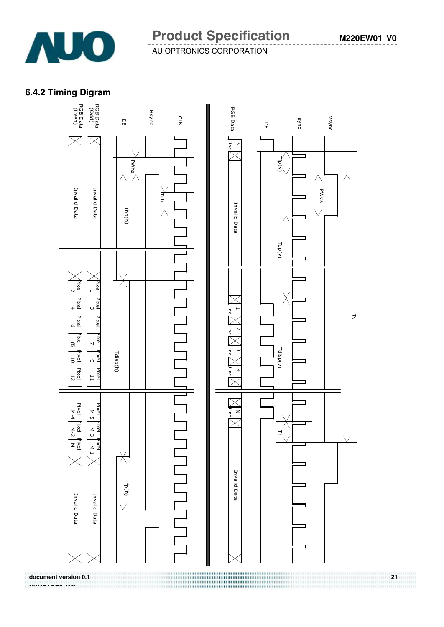

#### **6.4.2 Timing Digram**

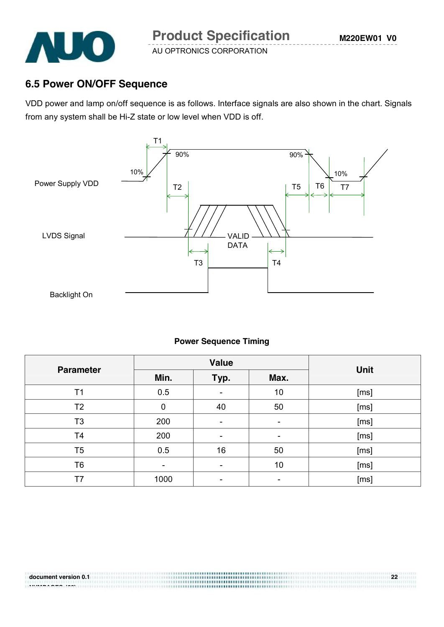

### **6.5 Power ON/OFF Sequence**

VDD power and lamp on/off sequence is as follows. Interface signals are also shown in the chart. Signals from any system shall be Hi-Z state or low level when VDD is off.



#### **Power Sequence Timing**

| <b>Parameter</b> |                  | <b>Value</b> | <b>Unit</b> |      |
|------------------|------------------|--------------|-------------|------|
|                  | Min.             | Typ.         | Max.        |      |
| T <sub>1</sub>   | 0.5              |              | 10          | [ms] |
| T <sub>2</sub>   | $\boldsymbol{0}$ | 40           | 50          | [ms] |
| T <sub>3</sub>   | 200              |              | ۰           | [ms] |
| T <sub>4</sub>   | 200              |              |             | [ms] |
| T <sub>5</sub>   | 0.5              | 16           | 50          | [ms] |
| T <sub>6</sub>   |                  |              | 10          | [ms] |
| T7               | 1000             |              |             | [ms] |

-------------------------------------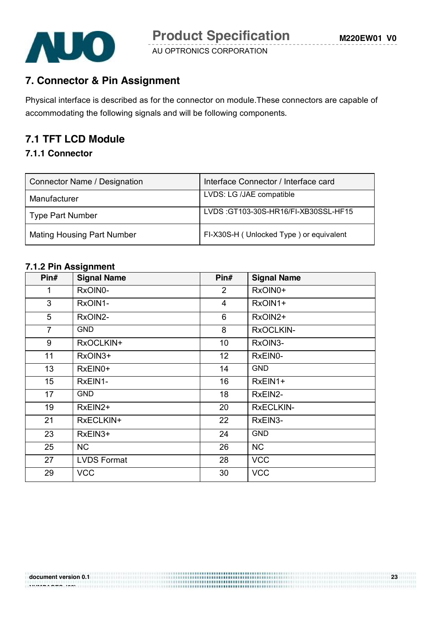

### **7. Connector & Pin Assignment**

Physical interface is described as for the connector on module.These connectors are capable of accommodating the following signals and will be following components.

#### **7.1 TFT LCD Module**

#### **7.1.1 Connector**

| Connector Name / Designation      | Interface Connector / Interface card    |
|-----------------------------------|-----------------------------------------|
| Manufacturer                      | LVDS: LG /JAE compatible                |
| Type Part Number                  | LVDS: GT103-30S-HR16/FI-XB30SSL-HF15    |
| <b>Mating Housing Part Number</b> | FI-X30S-H (Unlocked Type) or equivalent |

#### **7.1.2 Pin Assignment**

| Pin#            | <b>Signal Name</b> | Pin#           | <b>Signal Name</b> |
|-----------------|--------------------|----------------|--------------------|
| 1               | RxOIN0-            | $\overline{2}$ | RxOIN0+            |
| 3               | RxOIN1-            | $\overline{4}$ | RxOIN1+            |
| 5               | RxOIN2-            | 6              | RxOIN2+            |
| $\overline{7}$  | <b>GND</b>         | 8              | RxOCLKIN-          |
| 9               | RxOCLKIN+          | 10             | RxOIN3-            |
| 11              | RxOIN3+            | 12             | RxEIN0-            |
| 13              | RxEIN0+            | 14             | <b>GND</b>         |
| 15 <sub>1</sub> | RxEIN1-            | 16             | RxEIN1+            |
| 17              | <b>GND</b>         | 18             | RxEIN2-            |
| 19              | RxEIN2+            | 20             | <b>RXECLKIN-</b>   |
| 21              | RxECLKIN+          | 22             | RxEIN3-            |
| 23              | RxEIN3+            | 24             | <b>GND</b>         |
| 25              | <b>NC</b>          | 26             | <b>NC</b>          |
| 27              | <b>LVDS Format</b> | 28             | <b>VCC</b>         |
| 29              | <b>VCC</b>         | 30             | <b>VCC</b>         |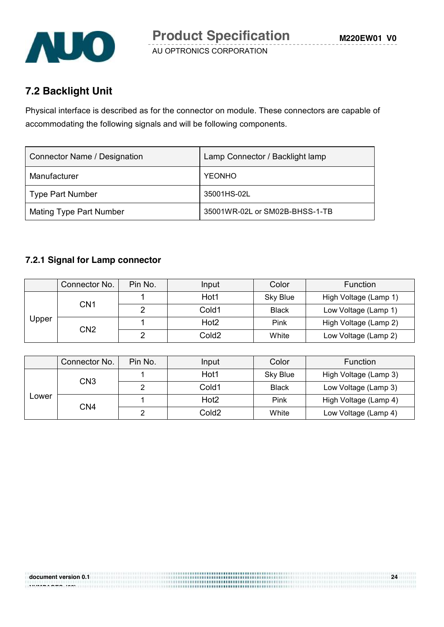

### **7.2 Backlight Unit**

Physical interface is described as for the connector on module. These connectors are capable of accommodating the following signals and will be following components.

| Connector Name / Designation   | Lamp Connector / Backlight lamp |
|--------------------------------|---------------------------------|
| Manufacturer                   | <b>YEONHO</b>                   |
| <b>Type Part Number</b>        | 35001HS-02L                     |
| <b>Mating Type Part Number</b> | 35001WR-02L or SM02B-BHSS-1-TB  |

#### **7.2.1 Signal for Lamp connector**

|       | Connector No. | Pin No.         | Input            | Color             | Function              |
|-------|---------------|-----------------|------------------|-------------------|-----------------------|
| Upper | CN1           |                 | Hot1             | Sky Blue          | High Voltage (Lamp 1) |
|       |               |                 | Cold1            | <b>Black</b>      | Low Voltage (Lamp 1)  |
|       |               |                 | Hot <sub>2</sub> | Pink              | High Voltage (Lamp 2) |
|       |               | CN <sub>2</sub> | ົ                | Cold <sub>2</sub> | White                 |

|       | Connector No. | Pin No. | Input            | Color        | <b>Function</b>       |
|-------|---------------|---------|------------------|--------------|-----------------------|
| Lower | CN3           |         | Hot1             | Sky Blue     | High Voltage (Lamp 3) |
|       |               |         | Cold1            | <b>Black</b> | Low Voltage (Lamp 3)  |
|       | CN4           |         | Hot <sub>2</sub> | Pink         | High Voltage (Lamp 4) |
|       |               | ◠       | Cold2            | White        | Low Voltage (Lamp 4)  |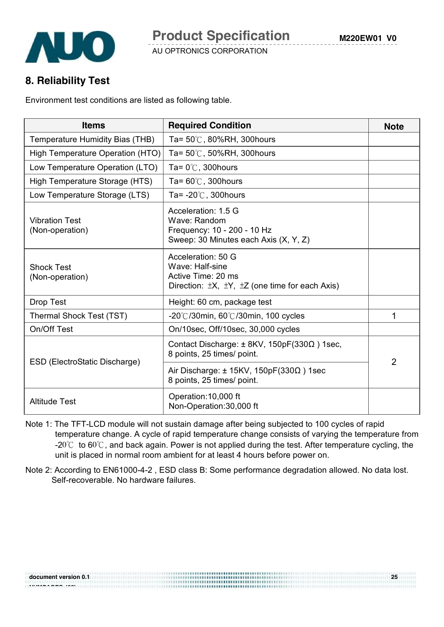

#### **8. Reliability Test**

Environment test conditions are listed as following table.

| <b>Items</b>                             | <b>Required Condition</b>                                                                                                      | <b>Note</b>    |
|------------------------------------------|--------------------------------------------------------------------------------------------------------------------------------|----------------|
| Temperature Humidity Bias (THB)          | Ta= $50^{\circ}$ C, 80%RH, 300hours                                                                                            |                |
| High Temperature Operation (HTO)         | Ta= $50^{\circ}$ C, $50\%$ RH, 300 hours                                                                                       |                |
| Low Temperature Operation (LTO)          | Ta= $0^{\circ}$ C, 300 hours                                                                                                   |                |
| High Temperature Storage (HTS)           | Ta= $60^{\circ}$ C, 300 hours                                                                                                  |                |
| Low Temperature Storage (LTS)            | Ta= $-20^{\circ}$ C, 300 hours                                                                                                 |                |
| <b>Vibration Test</b><br>(Non-operation) | Acceleration: 1.5 G<br>Wave: Random<br>Frequency: 10 - 200 - 10 Hz<br>Sweep: 30 Minutes each Axis (X, Y, Z)                    |                |
| <b>Shock Test</b><br>(Non-operation)     | Acceleration: 50 G<br>Wave: Half-sine<br>Active Time: 20 ms<br>Direction: $\pm X$ , $\pm Y$ , $\pm Z$ (one time for each Axis) |                |
| Drop Test                                | Height: 60 cm, package test                                                                                                    |                |
| Thermal Shock Test (TST)                 | -20°C/30min, 60°C/30min, 100 cycles                                                                                            | 1              |
| On/Off Test                              | On/10sec, Off/10sec, 30,000 cycles                                                                                             |                |
|                                          | Contact Discharge: ± 8KV, 150pF(330Ω) 1sec,<br>8 points, 25 times/ point.                                                      | $\overline{2}$ |
| ESD (ElectroStatic Discharge)            | Air Discharge: $\pm$ 15KV, 150pF(330 $\Omega$ ) 1sec<br>8 points, 25 times/ point.                                             |                |
| <b>Altitude Test</b>                     | Operation: 10,000 ft<br>Non-Operation: 30,000 ft                                                                               |                |

- Note 1: The TFT-LCD module will not sustain damage after being subjected to 100 cycles of rapid temperature change. A cycle of rapid temperature change consists of varying the temperature from -20 $\degree$  to 60 $\degree$ C, and back again. Power is not applied during the test. After temperature cycling, the unit is placed in normal room ambient for at least 4 hours before power on.
- Note 2: According to EN61000-4-2 , ESD class B: Some performance degradation allowed. No data lost. Self-recoverable. No hardware failures.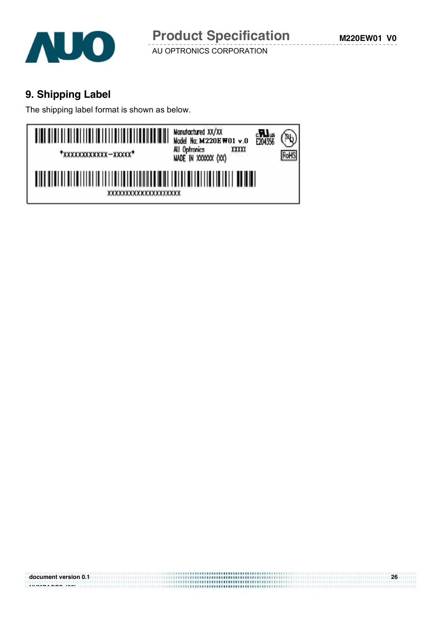

### **9. Shipping Label**

The shipping label format is shown as below.

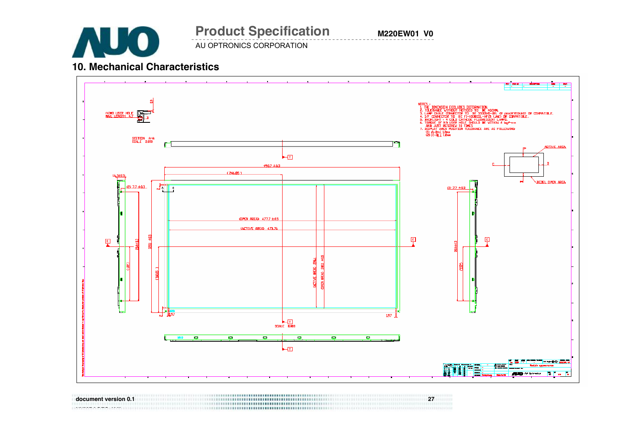

AU OPTRONICS CORPORATION **Product Specification** 

**M220EW01 V0**

#### **10. Mechanical Characteristics**



**document version 0.1 27**  NUMBER **1999** ISLAM CONTINUES IN THE UNITED STATES OF THE UNITED STATES OF THE UNITED STATES OF THE UNITED STATES OF THE UNITED STATES OF THE UNITED STATES OF THE UNITED STATES OF THE UNITED STATES OF THE UNITED STATES OF